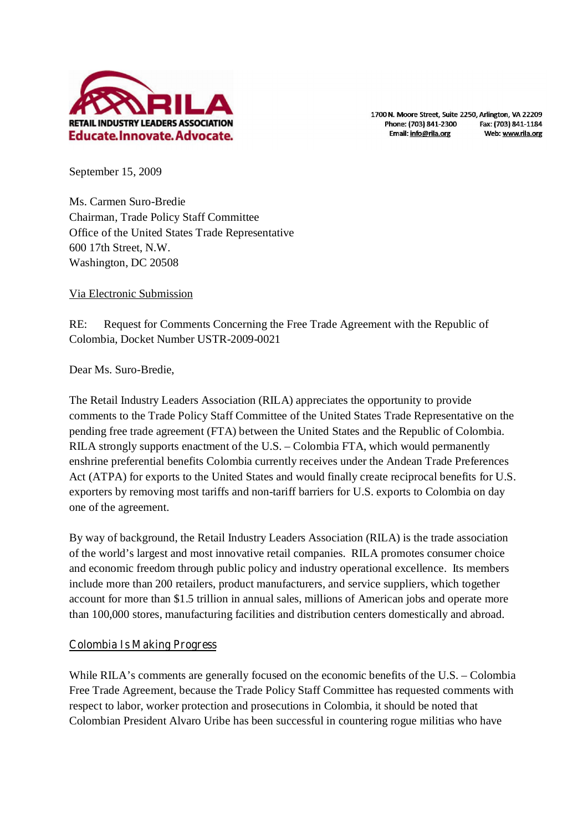

1700 N. Moore Street, Suite 2250, Arlington, VA 22209 Phone: (703) 841-2300 Fax: (703) 841-1184 Email: info@rila.org Web: www.rila.org

September 15, 2009

Ms. Carmen Suro-Bredie Chairman, Trade Policy Staff Committee Office of the United States Trade Representative 600 17th Street, N.W. Washington, DC 20508

Via Electronic Submission

RE: Request for Comments Concerning the Free Trade Agreement with the Republic of Colombia, Docket Number USTR-2009-0021

Dear Ms. Suro-Bredie,

The Retail Industry Leaders Association (RILA) appreciates the opportunity to provide comments to the Trade Policy Staff Committee of the United States Trade Representative on the pending free trade agreement (FTA) between the United States and the Republic of Colombia. RILA strongly supports enactment of the U.S. – Colombia FTA, which would permanently enshrine preferential benefits Colombia currently receives under the Andean Trade Preferences Act (ATPA) for exports to the United States and would finally create reciprocal benefits for U.S. exporters by removing most tariffs and non-tariff barriers for U.S. exports to Colombia on day one of the agreement.

By way of background, the Retail Industry Leaders Association (RILA) is the trade association of the world's largest and most innovative retail companies. RILA promotes consumer choice and economic freedom through public policy and industry operational excellence. Its members include more than 200 retailers, product manufacturers, and service suppliers, which together account for more than \$1.5 trillion in annual sales, millions of American jobs and operate more than 100,000 stores, manufacturing facilities and distribution centers domestically and abroad.

# **Colombia Is Making Progress**

While RILA's comments are generally focused on the economic benefits of the U.S. – Colombia Free Trade Agreement, because the Trade Policy Staff Committee has requested comments with respect to labor, worker protection and prosecutions in Colombia, it should be noted that Colombian President Alvaro Uribe has been successful in countering rogue militias who have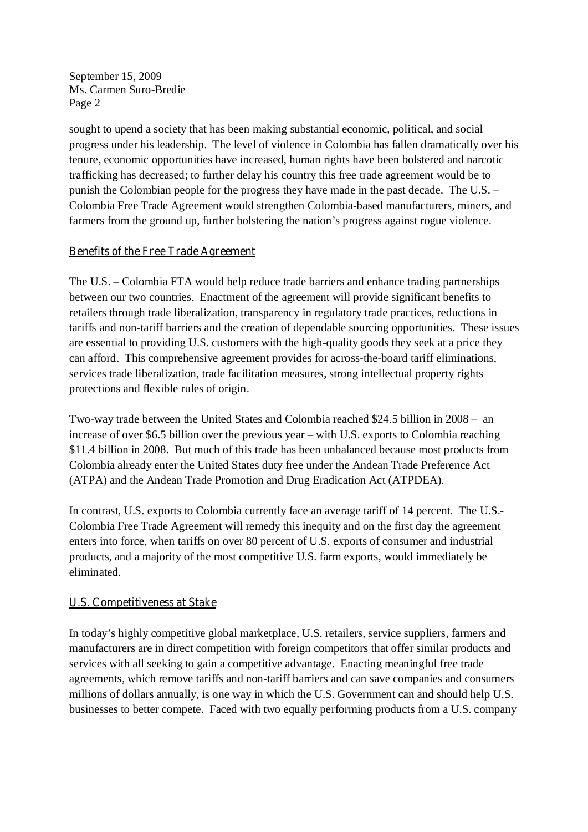sought to upend a society that has been making substantial economic, political, and social progress under his leadership. The level of violence in Colombia has fallen dramatically over his tenure, economic opportunities have increased, human rights have been bolstered and narcotic trafficking has decreased; to further delay his country this free trade agreement would be to punish the Colombian people for the progress they have made in the past decade. The U.S. – Colombia Free Trade Agreement would strengthen Colombia-based manufacturers, miners, and farmers from the ground up, further bolstering the nation's progress against rogue violence.

# **Benefits of the Free Trade Agreement**

The U.S. – Colombia FTA would help reduce trade barriers and enhance trading partnerships between our two countries. Enactment of the agreement will provide significant benefits to retailers through trade liberalization, transparency in regulatory trade practices, reductions in tariffs and non-tariff barriers and the creation of dependable sourcing opportunities. These issues are essential to providing U.S. customers with the high-quality goods they seek at a price they can afford. This comprehensive agreement provides for across-the-board tariff eliminations, services trade liberalization, trade facilitation measures, strong intellectual property rights protections and flexible rules of origin.

Two-way trade between the United States and Colombia reached \$24.5 billion in 2008 – an increase of over \$6.5 billion over the previous year – with U.S. exports to Colombia reaching \$11.4 billion in 2008. But much of this trade has been unbalanced because most products from Colombia already enter the United States duty free under the Andean Trade Preference Act (ATPA) and the Andean Trade Promotion and Drug Eradication Act (ATPDEA).

In contrast, U.S. exports to Colombia currently face an average tariff of 14 percent. The U.S.- Colombia Free Trade Agreement will remedy this inequity and on the first day the agreement enters into force, when tariffs on over 80 percent of U.S. exports of consumer and industrial products, and a majority of the most competitive U.S. farm exports, would immediately be eliminated.

# **U.S. Competitiveness at Stake**

In today's highly competitive global marketplace, U.S. retailers, service suppliers, farmers and manufacturers are in direct competition with foreign competitors that offer similar products and services with all seeking to gain a competitive advantage. Enacting meaningful free trade agreements, which remove tariffs and non-tariff barriers and can save companies and consumers millions of dollars annually, is one way in which the U.S. Government can and should help U.S. businesses to better compete. Faced with two equally performing products from a U.S. company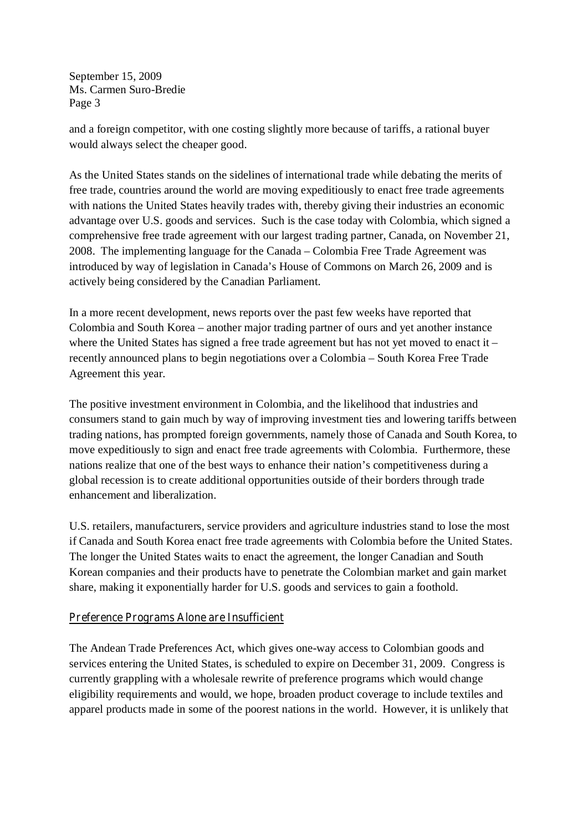and a foreign competitor, with one costing slightly more because of tariffs, a rational buyer would always select the cheaper good.

As the United States stands on the sidelines of international trade while debating the merits of free trade, countries around the world are moving expeditiously to enact free trade agreements with nations the United States heavily trades with, thereby giving their industries an economic advantage over U.S. goods and services. Such is the case today with Colombia, which signed a comprehensive free trade agreement with our largest trading partner, Canada, on November 21, 2008. The implementing language for the Canada – Colombia Free Trade Agreement was introduced by way of legislation in Canada's House of Commons on March 26, 2009 and is actively being considered by the Canadian Parliament.

In a more recent development, news reports over the past few weeks have reported that Colombia and South Korea – another major trading partner of ours and yet another instance where the United States has signed a free trade agreement but has not yet moved to enact it – recently announced plans to begin negotiations over a Colombia – South Korea Free Trade Agreement this year.

The positive investment environment in Colombia, and the likelihood that industries and consumers stand to gain much by way of improving investment ties and lowering tariffs between trading nations, has prompted foreign governments, namely those of Canada and South Korea, to move expeditiously to sign and enact free trade agreements with Colombia. Furthermore, these nations realize that one of the best ways to enhance their nation's competitiveness during a global recession is to create additional opportunities outside of their borders through trade enhancement and liberalization.

U.S. retailers, manufacturers, service providers and agriculture industries stand to lose the most if Canada and South Korea enact free trade agreements with Colombia before the United States. The longer the United States waits to enact the agreement, the longer Canadian and South Korean companies and their products have to penetrate the Colombian market and gain market share, making it exponentially harder for U.S. goods and services to gain a foothold.

# **Preference Programs Alone are Insufficient**

The Andean Trade Preferences Act, which gives one-way access to Colombian goods and services entering the United States, is scheduled to expire on December 31, 2009. Congress is currently grappling with a wholesale rewrite of preference programs which would change eligibility requirements and would, we hope, broaden product coverage to include textiles and apparel products made in some of the poorest nations in the world. However, it is unlikely that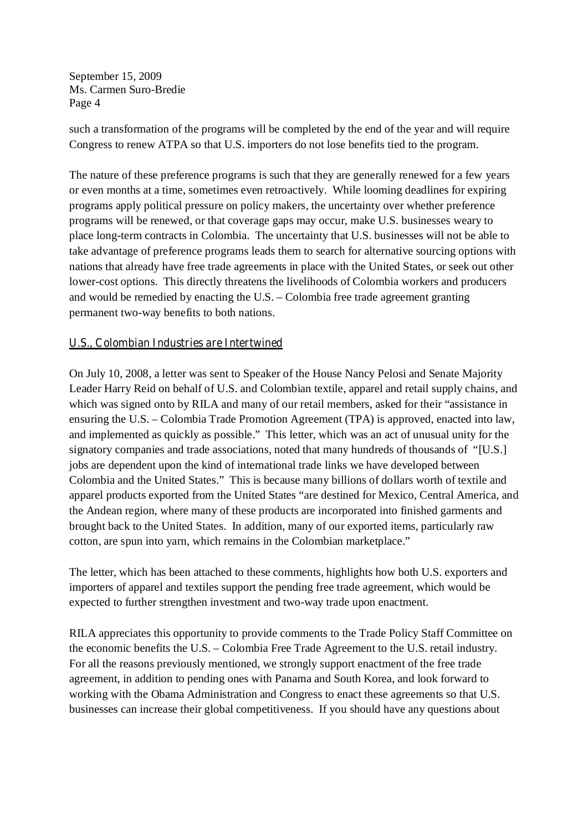such a transformation of the programs will be completed by the end of the year and will require Congress to renew ATPA so that U.S. importers do not lose benefits tied to the program.

The nature of these preference programs is such that they are generally renewed for a few years or even months at a time, sometimes even retroactively. While looming deadlines for expiring programs apply political pressure on policy makers, the uncertainty over whether preference programs will be renewed, or that coverage gaps may occur, make U.S. businesses weary to place long-term contracts in Colombia. The uncertainty that U.S. businesses will not be able to take advantage of preference programs leads them to search for alternative sourcing options with nations that already have free trade agreements in place with the United States, or seek out other lower-cost options. This directly threatens the livelihoods of Colombia workers and producers and would be remedied by enacting the U.S. – Colombia free trade agreement granting permanent two-way benefits to both nations.

## **U.S., Colombian Industries are Intertwined**

On July 10, 2008, a letter was sent to Speaker of the House Nancy Pelosi and Senate Majority Leader Harry Reid on behalf of U.S. and Colombian textile, apparel and retail supply chains, and which was signed onto by RILA and many of our retail members, asked for their "assistance in ensuring the U.S. – Colombia Trade Promotion Agreement (TPA) is approved, enacted into law, and implemented as quickly as possible." This letter, which was an act of unusual unity for the signatory companies and trade associations, noted that many hundreds of thousands of "[U.S.] jobs are dependent upon the kind of international trade links we have developed between Colombia and the United States." This is because many billions of dollars worth of textile and apparel products exported from the United States "are destined for Mexico, Central America, and the Andean region, where many of these products are incorporated into finished garments and brought back to the United States. In addition, many of our exported items, particularly raw cotton, are spun into yarn, which remains in the Colombian marketplace."

The letter, which has been attached to these comments, highlights how both U.S. exporters and importers of apparel and textiles support the pending free trade agreement, which would be expected to further strengthen investment and two-way trade upon enactment.

RILA appreciates this opportunity to provide comments to the Trade Policy Staff Committee on the economic benefits the U.S. – Colombia Free Trade Agreement to the U.S. retail industry. For all the reasons previously mentioned, we strongly support enactment of the free trade agreement, in addition to pending ones with Panama and South Korea, and look forward to working with the Obama Administration and Congress to enact these agreements so that U.S. businesses can increase their global competitiveness. If you should have any questions about